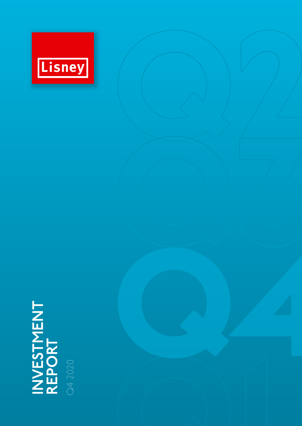

# **INVESTMENT REPORT<br>REPORT**

Q4 2020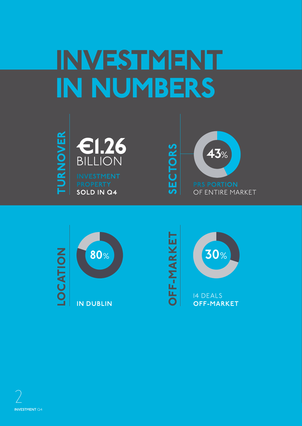## INVESTMENT IN NUMBERS







14 DEALS **OFF-MARKET**

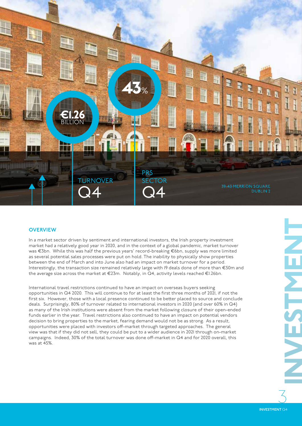

#### **OVERVIEW**

In a market sector driven by sentiment and international investors, the Irish property investment market had a relatively good year in 2020, and in the context of a global pandemic, market turnover was €3bn. While this was half the previous years' record-breaking €6bn, supply was more limited as several potential sales processes were put on hold. The inability to physically show properties between the end of March and into June also had an impact on market turnover for a period. Interestingly, the transaction size remained relatively large with 19 deals done of more than €50m and the average size across the market at €23m. Notably, in Q4, activity levels reached €1.26bn.

International travel restrictions continued to have an impact on overseas buyers seeking opportunities in Q4 2020. This will continue to for at least the first three months of 2021, if not the first six. However, those with a local presence continued to be better placed to source and conclude deals. Surprisingly, 80% of turnover related to international investors in 2020 (and over 60% in Q4) as many of the Irish institutions were absent from the market following closure of their open-ended funds earlier in the year. Travel restrictions also continued to have an impact on potential vendors decision to bring properties to the market, fearing demand would not be as strong. As a result, opportunities were placed with investors off-market through targeted approaches. The general view was that if they did not sell, they could be put to a wider audience in 2021 through on-market campaigns. Indeed, 30% of the total turnover was done off-market in Q4 and for 2020 overall, this was at 45%.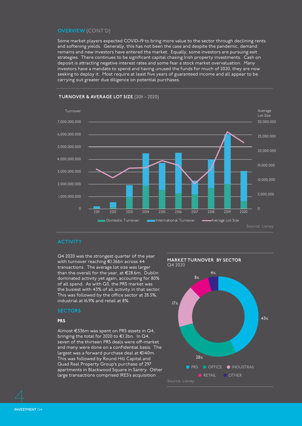#### **OVERVIEW** (CONT'D)

Some market players expected COVID-19 to bring more value to the sector through declining rents and softening yields. Generally, this has not been the case and despite the pandemic, demand remains and new investors have entered the market. Equally, some investors are pursuing exit strategies. There continues to be significant capital chasing Irish property investments. Cash on deposit is attracting negative interest rates and some fear a stock market overvaluation. Many investors have a mandate to spend and having unused the funds for much of 2020, they are now seeking to deploy it. Most require at least five years of guaranteed income and all appear to be carrying out greater due diligence on potential purchases.



#### **TURNOVER & AVERAGE LOT SIZE** (2011 – 2020)

#### **ACTIVITY**

Q4 2020 was the strongest quarter of the year with turnover reaching €1.26bn across 44 transactions. The average lot size was larger than the overall for the year, at €28.6m. Dublin dominated activity yet again, accounting for 80% of all spend. As with Q3, the PRS market was the busiest with 43% of all activity in that sector. This was followed by the office sector at 28.5%, industrial at 16.9% and retail at 8%.

#### **SECTORS**

#### PRS

Almost €536m was spent on PRS assets in Q4, bringing the total for 2020 to €1.2bn. In Q4, seven of the thirteen PRS deals were off-market and many were done on a confidential basis. The largest was a forward purchase deal at €140m. This was followed by Round Hill Capital and Quad Real Property Group's purchase of 297 apartments in Blackwood Square in Santry. Other large transactions comprised IRES's acquisition

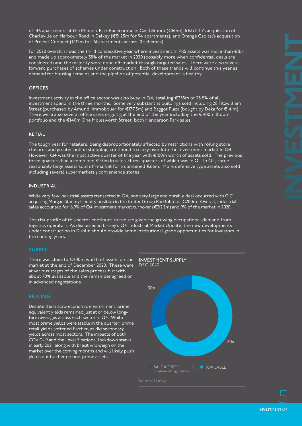of 146 apartments at the Phoenix Park Racecourse in Castleknock (€60m); Irish Life's acquisition of Charleville on Harbour Road in Dalkey (€51.25m for 94 apartments); and Orange Capital's acquisition of Project Connect (€32m for 151 apartments across 10 schemes).

For 2020 overall, it was the third consecutive year where investment in PRS assets was more than €1bn and made up approximately 38% of the market in 2020 (possibly more when confidential deals are considered) and the majority were done off-market through targeted sales. There were also several forward purchases of schemes under construction. Both of these trends will continue this year as demand for housing remains and the pipeline of potential development is healthy.

#### **OFFICES**

Investment activity in the office sector was also busy in Q4, totalling €358m or 28.5% of all investment spend in the three months. Some very substantial buildings sold including 28 Fitzwilliam Street (purchased by Amundi Immobolier for €177.5m) and Baggot Plaza (bought by Deka for €141m). There were also several office sales ongoing at the end of the year including the €400m Bloom portfolio and the €140m One Molesworth Street, both Henderson Park sales.

#### **RETIAL**

The tough year for retailers, being disproportionately affected by restrictions with rolling store closures and greater online shopping, continued to carry over into the investment market in Q4. However, Q4 was the most active quarter of the year with €100m worth of assets sold. The previous three quarters had a combined €40m in sales, three-quarters of which was in Q1. In Q4, three reasonably large assets sold off-market for a combined €66m. More defensive type assets also sold including several supermarkets / convenience stores.

#### **INDUSTRIAL**

While very few industrial assets transacted in Q4, one very large and notable deal occurred with GIC acquiring Morgan Stanley's equity position in the Exeter Group Portfolio for €200m. Overall, industrial sales accounted for 16.9% of  $Q4$  investment market turnover (€212.2m) and 9% of the market in 2020.

The risk profile of this sector continues to reduce given the growing occupational demand from logistics operators. As discussed in Lisney's Q4 Industrial Market Update, the new developments under construction in Dublin should provide some institutional grade opportunities for investors in the coming years.

#### **SUPPLY**

There was close to €200m worth of assets on the **INVESTMENT SUPPLY** market at the end of December 2020. These were DEC 2020 at various stages of the sales process but with about 70% available and the remainder agreed or in advanced negotiations.

#### **PRICING**

Despite the macro-economic environment, prime equivalent yields remained just at or below longterm averages across each sector in Q4. While most prime yields were stable in the quarter, prime retail yields softened further, as did secondary yields across most sectors. The impacts of both COVID-19 and the Level 5 national lockdown status in early 2021, along with Brexit will weigh on the market over the coming months and will likely push yields out further on non-prime assets.

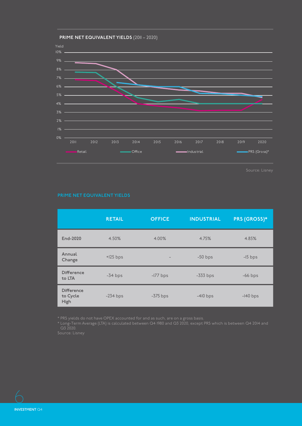

|                                       | <b>RETAIL</b> | <b>OFFICE</b>            | <b>INDUSTRIAL</b> | <b>PRS (GROSS)*</b> |
|---------------------------------------|---------------|--------------------------|-------------------|---------------------|
| End-2020                              | 4.50%         | 4.00%                    | 4.75%             | 4.85%               |
| Annual<br>Change                      | $+125$ bps    | $\overline{\phantom{a}}$ | $-50$ bps         | $-15$ bps           |
| <b>Difference</b><br>to LTA           | $-34$ bps     | $-177$ bps               | $-333$ bps        | $-66$ bps           |
| <b>Difference</b><br>to Cycle<br>High | $-234$ bps    | $-375$ bps               | $-410$ bps        | $-140$ bps          |

\* PRS yields do not have OPEX accounted for and as such, are on a gross basis.

\* Long-Term Average (LTA) is calculated between Q4 1980 and Q3 2020, except PRS which is between Q4 2014 and Q3 2020.

6 **INVESTMENT** Q4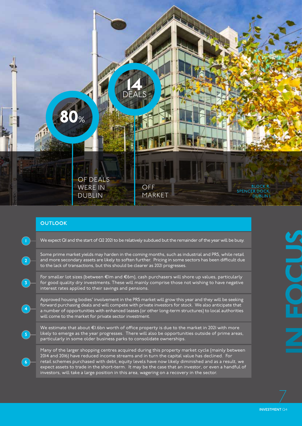

#### **OUTLOOK**

**6**

|   | We expect QI and the start of Q2 202I to be relatively subdued but the remainder of the year will be busy.                                                                                                                                                                                                                                                                  |
|---|-----------------------------------------------------------------------------------------------------------------------------------------------------------------------------------------------------------------------------------------------------------------------------------------------------------------------------------------------------------------------------|
|   | Some prime market yields may harden in the coming months, such as industrial and PRS, while retail<br>and more secondary assets are likely to soften further. Pricing in some sectors has been difficult due<br>to the lack of transactions, but this should be clearer as 2021 progresses.                                                                                 |
| 3 | For smaller lot sizes (between €lm and €6m), cash purchasers will shore up values, particularly<br>for good quality dry investments. These will mainly comprise those not wishing to have negative<br>interest rates applied to their savings and pensions.                                                                                                                 |
| 4 | Approved housing bodies' involvement in the PRS market will grow this year and they will be seeking<br>forward purchasing deals and will compete with private investors for stock. We also anticipate that<br>a number of opportunities with enhanced leases (or other long-term structures) to local authorities<br>will come to the market for private sector investment. |

We estimate that about €1.6bn worth of office property is due to the market in 2021 with more likely to emerge as the year progresses. There will also be opportunities outside of prime areas, particularly in some older business parks to consolidate ownerships.

Many of the larger shopping centres acquired during this property market cycle (mainly between 2014 and 2016) have reduced income streams and in turn the capital value has declined. For retail schemes purchased with debt, equity levels have now likely diminished and as a result, we expect assets to trade in the short-term. It may be the case that an investor, or even a handful of investors, will take a large position in this area, wagering on a recovery in the sector.

INVESTMENT Q4